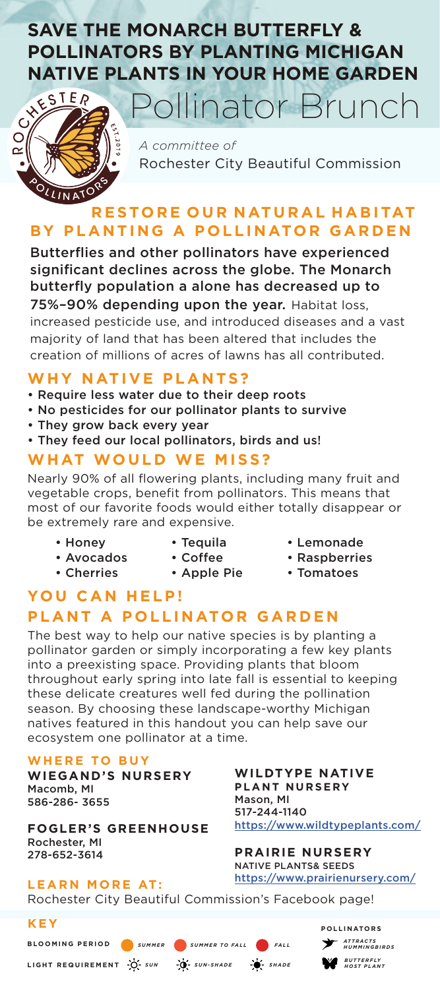# **SAVE THE MONARCH BUTTERFLY & POLLINATORS BY PLANTING MICHIGAN NATIVE PLANTS IN YOUR HOME GARDEN**<br>Siter Pollinator Brunch



*A committee of* Rochester City Beautiful Commission

Pollinator Brunch

## **R E STO R E O U R N AT U R A L H A B I TAT BY PLANTING A POLLINATOR GARDEN**

Butterflies and other pollinators have experienced significant declines across the globe. The Monarch butterfly population a alone has decreased up to 75%-90% depending upon the year. Habitat loss, increased pesticide use, and introduced diseases and a vast majority of land that has been altered that includes the creation of millions of acres of lawns has all contributed.

### **WHY NATIVE PLANTS?**

- Require less water due to their deep roots
- No pesticides for our pollinator plants to survive
- They grow back every year
- They feed our local pollinators, birds and us!

## **WHAT WOULD WE MISS?**

Nearly 90% of all flowering plants, including many fruit and vegetable crops, benefit from pollinators. This means that most of our favorite foods would either totally disappear or be extremely rare and expensive.

- Honey
- Avocados
- Cherries
- Tequila • Coffee

• Apple Pie

- Lemonade
	- Raspberries
	- Tomatoes

## **YOU CAN HELP! PLANT A POLLINATOR GARDEN**

The best way to help our native species is by planting a pollinator garden or simply incorporating a few key plants into a preexisting space. Providing plants that bloom throughout early spring into late fall is essential to keeping these delicate creatures well fed during the pollination season. By choosing these landscape-worthy Michigan natives featured in this handout you can help save our ecosystem one pollinator at a time.

#### **WHERE TO BUY**

**WIEGAND'S NURSERY** Macomb, MI 586-286- 3655

**FOGLER'S GREENHOUSE** Rochester, MI 278-652-3614

**WILDTYPE NATIVE PLANT NURSERY** Mason, MI 517-244-1140 https://www.wildtypeplants.com/

**PRAIRIE NURSERY** NATIVE PLANTS& SEEDS https://www.prairienursery.com/

> *AT T RAC T S HUMMINGBIRDS B U T T E R F LY HOST PLANT*

**POLLINATORS**

#### **LEARN MORE AT:**

Rochester City Beautiful Commission's Facebook page!

**SUMMER** SUMMER TO FALL **CONTAINER** 

#### **KEY**

**BLOOMING PERIOD**

**LIGHT REQUIREMENT** *SUN SUN-SHADE SHADE*